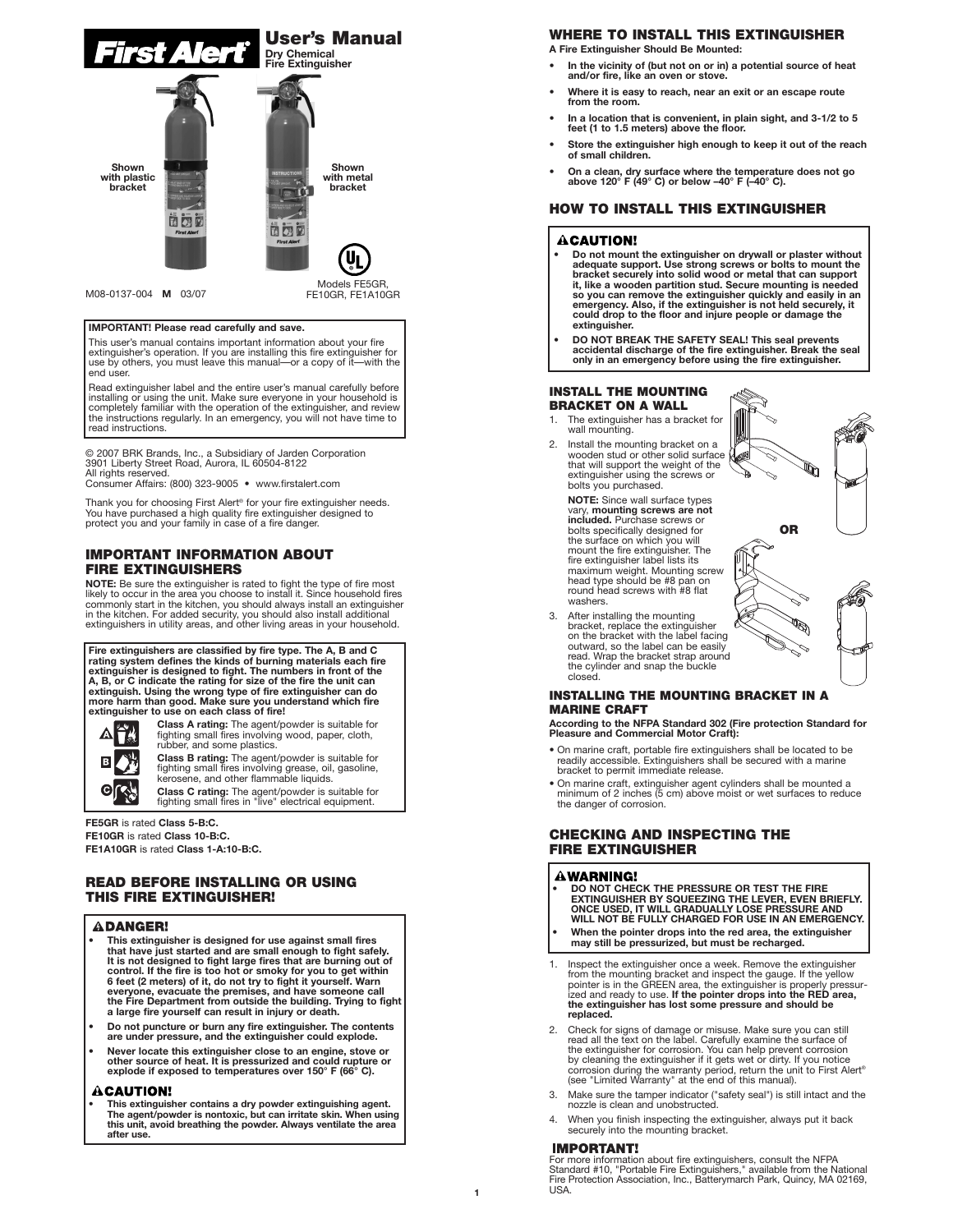

#### M08-0137-004 **M** 03/07

FE10GR, FE1A10GR

#### **IMPORTANT! Please read carefully and save.**

This user's manual contains important information about your fire extinguisher's operation. If you are installing this fire extinguisher for use by others, you must leave this manual—or a copy of it—with the end user.

Read extinguisher label and the entire user's manual carefully before installing or using the unit. Make sure everyone in your household is completely familiar with the operation of the extinguisher, and review the instructions regularly. In an emergency, you will not have time to read instructions.

© 2007 BRK Brands, Inc., a Subsidiary of Jarden Corporation 3901 Liberty Street Road, Aurora, IL 60504-8122 All rights reserved.

Consumer Affairs: (800) 323-9005 • www.firstalert.com

Thank you for choosing First Alert® for your fire extinguisher needs. You have purchased a high quality fire extinguisher designed to protect you and your family in case of a fire danger.

### **IMPORTANT INFORMATION ABOUT FIRE EXTINGUISHERS**

**NOTE:** Be sure the extinguisher is rated to fight the type of fire most<br>likely to occur in the area you choose to install it. Since household fires<br>commonly start in the kitchen, you should always install an extinguisher in the kitchen. For added security, you should also install additional extinguishers in utility areas, and other living areas in your household.

**Fire extinguishers are classified by fire type. The A, B and C rating system defines the kinds of burning materials each fire extinguisher is designed to fight. The numbers in front of the A, B, or C indicate the rating for size of the fire the unit can extinguish. Using the wrong type of fire extinguisher can do more harm than good. Make sure you understand which fire extinguisher to use on each class of fire!**



**Class A rating:** The agent/powder is suitable for fighting small fires involving wood, paper, cloth, rubber, and some plastics.

**Class B rating:** The agent/powder is suitable for fighting small fires involving grease, oil, gasoline, kerosene, and other flammable liquids.

**Class C rating:** The agent/powder is suitable for fighting small fires in "live" electrical equipment.

#### **FE5GR** is rated **Class 5-B:C.**

**FE10GR** is rated **Class 10-B:C. FE1A10GR** is rated **Class 1-A:10-B:C.**

## **READ BEFORE INSTALLING OR USING THIS FIRE EXTINGUISHER!**

#### **ADANGER!**

- **This extinguisher is designed for use against small fires that have just started and are small enough to fight safely. It is not designed to fight large fires that are burning out of** control. If the fire is too hot or smoky for you to get within<br>6 feet (2 meters) of it, do not try to fight it yourself. Warn<br>everyone, evacuate the premises, and have someone call<br>the Fire Department from outside the buil
- **• Do not puncture or burn any fire extinguisher. The contents are under pressure, and the extinguisher could explode.**
- **Never locate this extinguisher close to an engine, stove or other source of heat. It is pressurized and could rupture or explode if exposed to temperatures over 150° F (66° C).**

#### CAUTION!

**• This extinguisher contains a dry powder extinguishing agent. The agent/powder is nontoxic, but can irritate skin. When using this unit, avoid breathing the powder. Always ventilate the area after use.**

# **WHERE TO INSTALL THIS EXTINGUISHER**

**A Fire Extinguisher Should Be Mounted:**

- **In the vicinity of (but not on or in) a potential source of heat and/or fire, like an oven or stove.**
- **Where it is easy to reach, near an exit or an escape route from the room.**
- **In a location that is convenient, in plain sight, and 3-1/2 to 5 feet (1 to 1.5 meters) above the floor.**
- **Store the extinguisher high enough to keep it out of the reach of small children.**
- **On a clean, dry surface where the temperature does not go above 120° F (49° C) or below –40° F (–40° C).**

### **HOW TO INSTALL THIS EXTINGUISHER**

### **ACAUTION!**

- **• Do not mount the extinguisher on drywall or plaster without adequate support. Use strong screws or bolts to mount the bracket securely into solid wood or metal that can support it, like a wooden partition stud. Secure mounting is needed so you can remove the extinguisher quickly and easily in an emergency. Also, if the extinguisher is not held securely, it could drop to the floor and injure people or damage the extinguisher.**
- **• DO NOT BREAK THE SAFETY SEAL! This seal prevents accidental discharge of the fire extinguisher. Break the seal only in an emergency before using the fire extinguisher.**

**OR**

q

#### **INSTALL THE MOUNTING BRACKET ON A WALL**

- 1. The extinguisher has a bracket for wall mounting.
- 2. Install the mounting bracket on a wooden stud or other solid surface that will support the weight of the extinguisher using the screws or bolts you purchased.

**NOTE:** Since wall surface types vary, **mounting screws are not included.** Purchase screws or bolts specifically designed for the surface on which you will mount the fire extinguisher. The fire extinguisher label lists its maximum weight. Mounting screw head type should be #8 pan on round head screws with #8 flat washers.

After installing the mounting bracket, replace the extinguisher<br>on the bracket with the label facing outward, so the label can be easily read. Wrap the bracket strap around the cylinder and snap the buckle closed.

#### **INSTALLING THE MOUNTING BRACKET IN A MARINE CRAFT**

**According to the NFPA Standard 302 (Fire protection Standard for Pleasure and Commercial Motor Craft):**

- On marine craft, portable fire extinguishers shall be located to be readily accessible. Extinguishers shall be secured with a marine bracket to permit immediate release.
- On marine craft, extinguisher agent cylinders shall be mounted a minimum of 2 inches (5 cm) above moist or wet surfaces to reduce the danger of corrosion.

### **CHECKING AND INSPECTING THE FIRE EXTINGUISHER**

### **AWARNING!**

- **• DO NOT CHECK THE PRESSURE OR TEST THE FIRE EXTINGUISHER BY SQUEEZING THE LEVER, EVEN BRIEFLY. ONCE USED, IT WILL GRADUALLY LOSE PRESSURE AND WILL NOT BE FULLY CHARGED FOR USE IN AN EMERGENCY. • When the pointer drops into the red area, the extinguisher**
- **may still be pressurized, but must be recharged.**
- 1. Inspect the extinguisher once a week. Remove the extinguisher from the mounting bracket and inspect the gauge. If the yellow pointer is in the GREEN area, the extinguisher is properly pressur-ized and ready to use. **If the pointer drops into the RED area, the extinguisher has lost some pressure and should be replaced.**
- 2. Check for signs of damage or misuse. Make sure you can still read all the text on the label. Carefully examine the surface of the extinguisher for corrosion. You can help prevent corrosion<br>by cleaning the extinguisher if it gets wet or dirty. If you notice<br>corrosion during the warranty period, return the unit to First Alert®<br>(see "Limited Warrant
- 3. Make sure the tamper indicator ("safety seal") is still intact and the nozzle is clean and unobstructed.
- 4. When you finish inspecting the extinguisher, always put it back securely into the mounting bracket.

#### **IMPORTANT!**

For more information about fire extinguishers, consult the NFPA Standard #10, "Portable Fire Extinguishers," available from the National Fire Protection Association, Inc., Batterymarch Park, Quincy, MA 02169, **USA**